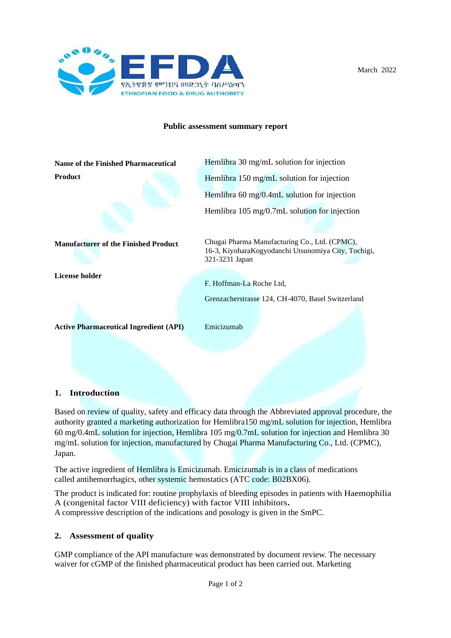

March 2022

### **Public assessment summary report**

**Name of the Finished Pharmaceutical Product**



Hemlibra 30 mg/mL solution for injection Hemlibra 150 mg/mL solution for injection Hemlibra 60 mg/0.4mL solution for injection Hemlibra 105 mg/0.7mL solution for injection

**Manufacturer of the Finished Product**

**License holder**

Chugai Pharma Manufacturing Co., Ltd. (CPMC), 16-3, KiyoharaKogyodanchi Utsunomiya City, Tochigi, 321-3231 Japan

F. Hoffman-La Roche Ltd,

Grenzacherstrasse 124, CH-4070, Basel Switzerland

**Active Pharmaceutical Ingredient (API)** Emicizumab

# **1. Introduction**

Based on review of quality, safety and efficacy data through the Abbreviated approval procedure, the authority granted a marketing authorization for Hemlibra150 mg/mL solution for injection, Hemlibra 60 mg/0.4mL solution for injection, Hemlibra 105 mg/0.7mL solution for injection and Hemlibra 30 mg/mL solution for injection, manufactured by Chugai Pharma Manufacturing Co., Ltd. (CPMC), Japan.

The active ingredient of Hemlibra is Emicizumab. Emicizumab is in a class of medications called antihemorrhagics, other systemic hemostatics (ATC code: B02BX06).

The product is indicated for: routine prophylaxis of bleeding episodes in patients with Haemophilia A (congenital factor VIII deficiency) with factor VIII inhibitors**.** A compressive description of the indications and posology is given in the SmPC.

# **2. Assessment of quality**

GMP compliance of the API manufacture was demonstrated by document review. The necessary waiver for cGMP of the finished pharmaceutical product has been carried out. Marketing